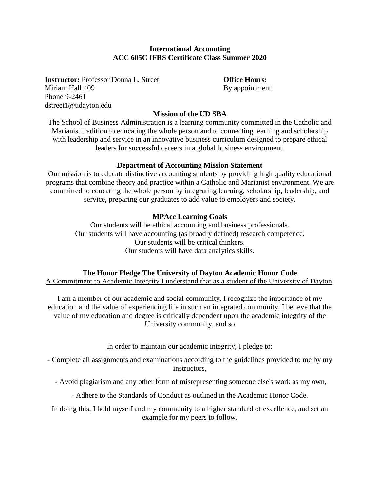## **International Accounting ACC 605C IFRS Certificate Class Summer 2020**

**Instructor:** Professor Donna L. Street **Office Hours:** Miriam Hall 409 By appointment Phone 9-2461 dstreet1@udayton.edu

## **Mission of the UD SBA**

The School of Business Administration is a learning community committed in the Catholic and Marianist tradition to educating the whole person and to connecting learning and scholarship with leadership and service in an innovative business curriculum designed to prepare ethical leaders for successful careers in a global business environment.

#### **Department of Accounting Mission Statement**

Our mission is to educate distinctive accounting students by providing high quality educational programs that combine theory and practice within a Catholic and Marianist environment. We are committed to educating the whole person by integrating learning, scholarship, leadership, and service, preparing our graduates to add value to employers and society.

## **MPAcc Learning Goals**

Our students will be ethical accounting and business professionals. Our students will have accounting (as broadly defined) research competence. Our students will be critical thinkers. Our students will have data analytics skills.

## **The Honor Pledge The University of Dayton Academic Honor Code**

A Commitment to Academic Integrity I understand that as a student of the University of Dayton,

I am a member of our academic and social community, I recognize the importance of my education and the value of experiencing life in such an integrated community, I believe that the value of my education and degree is critically dependent upon the academic integrity of the University community, and so

In order to maintain our academic integrity, I pledge to:

- Complete all assignments and examinations according to the guidelines provided to me by my instructors,

- Avoid plagiarism and any other form of misrepresenting someone else's work as my own,

- Adhere to the Standards of Conduct as outlined in the Academic Honor Code.

In doing this, I hold myself and my community to a higher standard of excellence, and set an example for my peers to follow.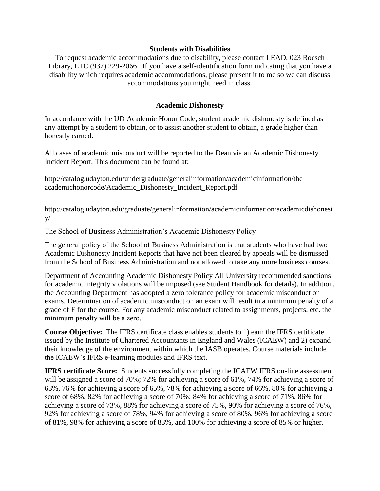#### **Students with Disabilities**

To request academic accommodations due to disability, please contact LEAD, 023 Roesch Library, LTC (937) 229-2066. If you have a self-identification form indicating that you have a disability which requires academic accommodations, please present it to me so we can discuss accommodations you might need in class.

## **Academic Dishonesty**

In accordance with the UD Academic Honor Code, student academic dishonesty is defined as any attempt by a student to obtain, or to assist another student to obtain, a grade higher than honestly earned.

All cases of academic misconduct will be reported to the Dean via an Academic Dishonesty Incident Report. This document can be found at:

http://catalog.udayton.edu/undergraduate/generalinformation/academicinformation/the academichonorcode/Academic\_Dishonesty\_Incident\_Report.pdf

http://catalog.udayton.edu/graduate/generalinformation/academicinformation/academicdishonest  $V/$ 

The School of Business Administration's Academic Dishonesty Policy

The general policy of the School of Business Administration is that students who have had two Academic Dishonesty Incident Reports that have not been cleared by appeals will be dismissed from the School of Business Administration and not allowed to take any more business courses.

Department of Accounting Academic Dishonesty Policy All University recommended sanctions for academic integrity violations will be imposed (see Student Handbook for details). In addition, the Accounting Department has adopted a zero tolerance policy for academic misconduct on exams. Determination of academic misconduct on an exam will result in a minimum penalty of a grade of F for the course. For any academic misconduct related to assignments, projects, etc. the minimum penalty will be a zero.

**Course Objective:** The IFRS certificate class enables students to 1) earn the IFRS certificate issued by the Institute of Chartered Accountants in England and Wales (ICAEW) and 2) expand their knowledge of the environment within which the IASB operates. Course materials include the ICAEW's IFRS e-learning modules and IFRS text.

**IFRS certificate Score:** Students successfully completing the ICAEW IFRS on-line assessment will be assigned a score of 70%; 72% for achieving a score of 61%, 74% for achieving a score of 63%, 76% for achieving a score of 65%, 78% for achieving a score of 66%, 80% for achieving a score of 68%, 82% for achieving a score of 70%; 84% for achieving a score of 71%, 86% for achieving a score of 73%, 88% for achieving a score of 75%, 90% for achieving a score of 76%, 92% for achieving a score of 78%, 94% for achieving a score of 80%, 96% for achieving a score of 81%, 98% for achieving a score of 83%, and 100% for achieving a score of 85% or higher.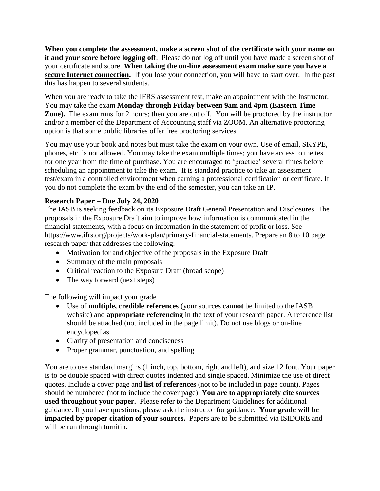**When you complete the assessment, make a screen shot of the certificate with your name on it and your score before logging off**. Please do not log off until you have made a screen shot of your certificate and score. **When taking the on-line assessment exam make sure you have a secure Internet connection.** If you lose your connection, you will have to start over. In the past this has happen to several students.

When you are ready to take the IFRS assessment test, make an appointment with the Instructor. You may take the exam **Monday through Friday between 9am and 4pm (Eastern Time Zone).** The exam runs for 2 hours; then you are cut off. You will be proctored by the instructor and/or a member of the Department of Accounting staff via ZOOM. An alternative proctoring option is that some public libraries offer free proctoring services.

You may use your book and notes but must take the exam on your own. Use of email, SKYPE, phones, etc. is not allowed. You may take the exam multiple times; you have access to the test for one year from the time of purchase. You are encouraged to 'practice' several times before scheduling an appointment to take the exam. It is standard practice to take an assessment test/exam in a controlled environment when earning a professional certification or certificate. If you do not complete the exam by the end of the semester, you can take an IP.

# **Research Paper – Due July 24, 2020**

The IASB is seeking feedback on its Exposure Draft General Presentation and Disclosures. The proposals in the Exposure Draft aim to improve how information is communicated in the financial statements, with a focus on information in the statement of profit or loss. See https://www.ifrs.org/projects/work-plan/primary-financial-statements. Prepare an 8 to 10 page research paper that addresses the following:

- Motivation for and objective of the proposals in the Exposure Draft
- Summary of the main proposals
- Critical reaction to the Exposure Draft (broad scope)
- The way forward (next steps)

The following will impact your grade

- Use of **multiple, credible references** (your sources can**not** be limited to the IASB website) and **appropriate referencing** in the text of your research paper. A reference list should be attached (not included in the page limit). Do not use blogs or on-line encyclopedias.
- Clarity of presentation and conciseness
- Proper grammar, punctuation, and spelling

You are to use standard margins (1 inch, top, bottom, right and left), and size 12 font. Your paper is to be double spaced with direct quotes indented and single spaced. Minimize the use of direct quotes. Include a cover page and **list of references** (not to be included in page count). Pages should be numbered (not to include the cover page). **You are to appropriately cite sources used throughout your paper.** Please refer to the Department Guidelines for additional guidance. If you have questions, please ask the instructor for guidance. **Your grade will be impacted by proper citation of your sources.** Papers are to be submitted via ISIDORE and will be run through turnitin.